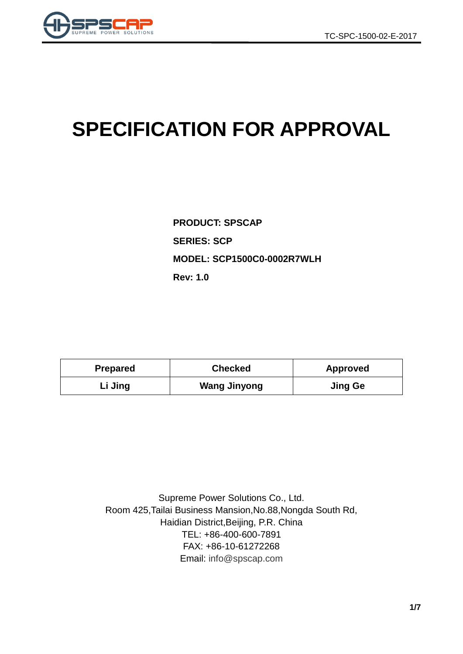

# **SPECIFICATION FOR APPROVAL**

**PRODUCT: SPSCAP SERIES: SCP MODEL: SCP1500C0-0002R7WLH Rev: 1.0**

| <b>Prepared</b> | <b>Checked</b>      | <b>Approved</b> |  |
|-----------------|---------------------|-----------------|--|
| Li Jing         | <b>Wang Jinyong</b> | <b>Jing Ge</b>  |  |

Supreme Power Solutions Co., Ltd. Room 425,Tailai Business Mansion,No.88,Nongda South Rd, Haidian District,Beijing, P.R. China TEL: +86-400-600-7891 FAX: +86-10-61272268 Email: [info@spscap.com](mailto:info@spscap.com)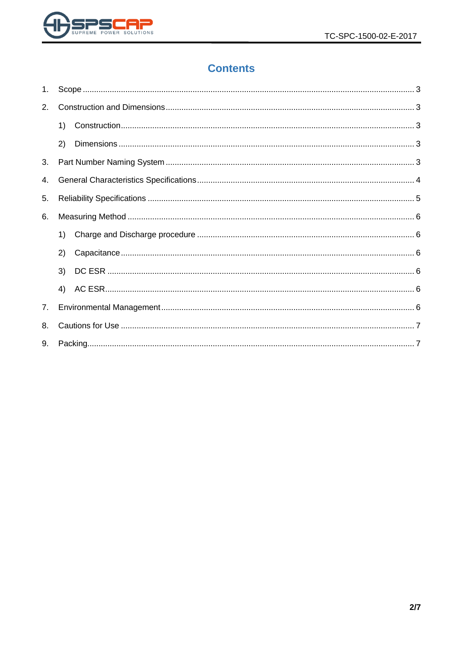

# **Contents**

| 1. |    |  |  |  |  |  |
|----|----|--|--|--|--|--|
| 2. |    |  |  |  |  |  |
|    | 1) |  |  |  |  |  |
|    | 2) |  |  |  |  |  |
| 3. |    |  |  |  |  |  |
| 4. |    |  |  |  |  |  |
| 5. |    |  |  |  |  |  |
| 6. |    |  |  |  |  |  |
|    | 1) |  |  |  |  |  |
|    | 2) |  |  |  |  |  |
|    | 3) |  |  |  |  |  |
|    | 4) |  |  |  |  |  |
| 7. |    |  |  |  |  |  |
| 8. |    |  |  |  |  |  |
| 9. |    |  |  |  |  |  |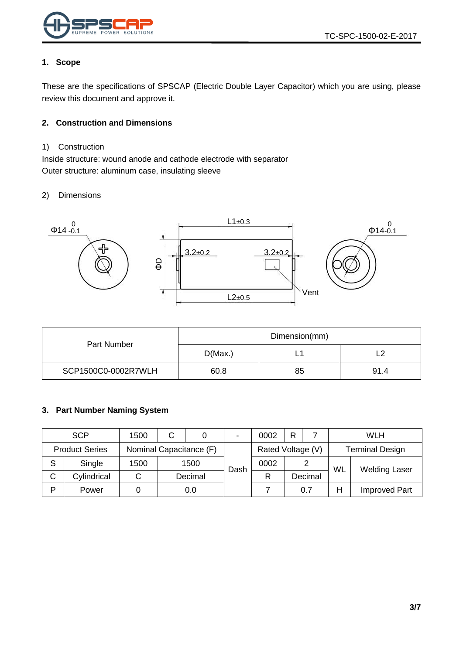

#### <span id="page-2-0"></span>**1. Scope**

These are the specifications of SPSCAP (Electric Double Layer Capacitor) which you are using, please review this document and approve it.

#### <span id="page-2-1"></span>**2. Construction and Dimensions**

#### <span id="page-2-2"></span>1) Construction

Inside structure: wound anode and cathode electrode with separator Outer structure: aluminum case, insulating sleeve

#### <span id="page-2-3"></span>2) Dimensions



|                     | Dimension(mm) |    |      |  |
|---------------------|---------------|----|------|--|
| Part Number         | D(Max.)       | -  |      |  |
| SCP1500C0-0002R7WLH | 60.8          | 85 | 91.4 |  |

#### <span id="page-2-4"></span>**3. Part Number Naming System**

|                       | <b>SCP</b>  | 1500                    | C |         | $\blacksquare$    | 0002 | R |         |                        | <b>WLH</b>           |
|-----------------------|-------------|-------------------------|---|---------|-------------------|------|---|---------|------------------------|----------------------|
| <b>Product Series</b> |             | Nominal Capacitance (F) |   |         | Rated Voltage (V) |      |   |         | <b>Terminal Design</b> |                      |
| S                     | Single      | 1500                    |   | 1500    | Dash              | 0002 |   | 2       | WL                     | <b>Welding Laser</b> |
| C                     | Cylindrical |                         |   | Decimal |                   | R    |   | Decimal |                        |                      |
| Þ                     | Power       |                         |   | 0.0     |                   |      |   | 0.7     | Н                      | <b>Improved Part</b> |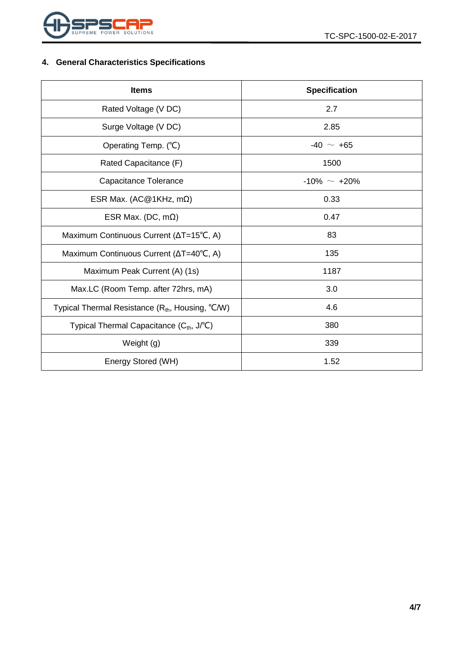

## <span id="page-3-0"></span>**4. General Characteristics Specifications**

| <b>Items</b>                                               | <b>Specification</b> |  |  |
|------------------------------------------------------------|----------------------|--|--|
| Rated Voltage (V DC)                                       | 2.7                  |  |  |
| Surge Voltage (V DC)                                       | 2.85                 |  |  |
| Operating Temp. (°C)                                       | $-40 \sim +65$       |  |  |
| Rated Capacitance (F)                                      | 1500                 |  |  |
| Capacitance Tolerance                                      | $-10\% \sim +20\%$   |  |  |
| ESR Max. (AC@1KHz, m $\Omega$ )                            | 0.33                 |  |  |
| ESR Max. (DC, $m\Omega$ )                                  | 0.47                 |  |  |
| Maximum Continuous Current (∆T=15°C, A)                    | 83                   |  |  |
| Maximum Continuous Current ( $\Delta T = 40^{\circ}C$ , A) | 135                  |  |  |
| Maximum Peak Current (A) (1s)                              | 1187                 |  |  |
| Max.LC (Room Temp. after 72hrs, mA)                        | 3.0                  |  |  |
| Typical Thermal Resistance $(R_{th}$ , Housing, °C/W)      | 4.6                  |  |  |
| Typical Thermal Capacitance (Cth, J/°C)                    | 380                  |  |  |
| Weight (g)                                                 | 339                  |  |  |
| Energy Stored (WH)                                         | 1.52                 |  |  |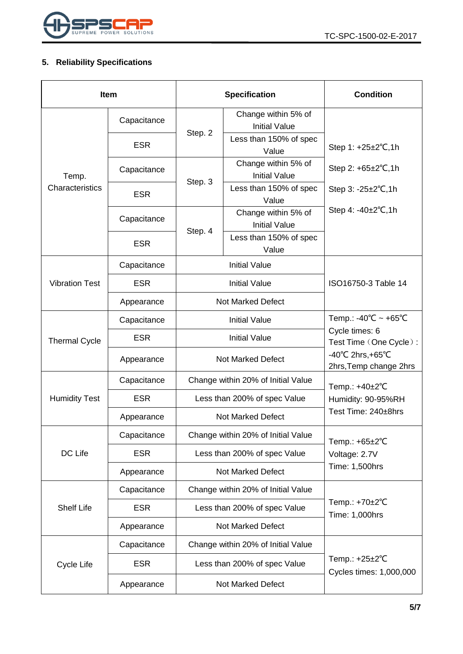

## <span id="page-4-0"></span>**5. Reliability Specifications**

| <b>Item</b>           |             |                                    | <b>Specification</b>                        | <b>Condition</b>                                                 |  |
|-----------------------|-------------|------------------------------------|---------------------------------------------|------------------------------------------------------------------|--|
|                       | Capacitance |                                    | Change within 5% of<br><b>Initial Value</b> |                                                                  |  |
|                       | <b>ESR</b>  | Step. 2                            | Less than 150% of spec<br>Value             | Step 1: +25±2°C,1h                                               |  |
| Temp.                 | Capacitance |                                    | Change within 5% of<br><b>Initial Value</b> | Step 2: $+65\pm2\degree$ C, 1h                                   |  |
| Characteristics       | <b>ESR</b>  | Step. 3                            | Less than 150% of spec<br>Value             | Step $3: -25 \pm 2^{\circ}C, 1h$                                 |  |
|                       | Capacitance |                                    | Change within 5% of<br><b>Initial Value</b> | Step 4: $-40\pm2^{\circ}C$ , 1h                                  |  |
|                       | <b>ESR</b>  | Step. 4                            | Less than 150% of spec<br>Value             |                                                                  |  |
|                       | Capacitance |                                    | <b>Initial Value</b>                        |                                                                  |  |
| <b>Vibration Test</b> | <b>ESR</b>  |                                    | <b>Initial Value</b>                        | ISO16750-3 Table 14                                              |  |
|                       | Appearance  | <b>Not Marked Defect</b>           |                                             |                                                                  |  |
| <b>Thermal Cycle</b>  | Capacitance | <b>Initial Value</b>               |                                             | Temp.: -40°C ~ +65°C<br>Cycle times: 6<br>Test Time (One Cycle): |  |
|                       | <b>ESR</b>  | <b>Initial Value</b>               |                                             |                                                                  |  |
|                       | Appearance  | <b>Not Marked Defect</b>           |                                             | $-40^{\circ}$ C 2hrs, +65 $^{\circ}$ C<br>2hrs, Temp change 2hrs |  |
|                       | Capacitance | Change within 20% of Initial Value |                                             | Temp.: +40±2°C                                                   |  |
| <b>Humidity Test</b>  | <b>ESR</b>  | Less than 200% of spec Value       |                                             | Humidity: 90-95%RH<br>Test Time: 240±8hrs                        |  |
|                       | Appearance  | <b>Not Marked Defect</b>           |                                             |                                                                  |  |
|                       | Capacitance |                                    | Change within 20% of Initial Value          | Temp.: $+65\pm2\degree C$                                        |  |
| DC Life               | <b>ESR</b>  | Less than 200% of spec Value       |                                             | Voltage: 2.7V                                                    |  |
|                       | Appearance  | <b>Not Marked Defect</b>           |                                             | Time: 1,500hrs                                                   |  |
|                       | Capacitance | Change within 20% of Initial Value |                                             |                                                                  |  |
| <b>Shelf Life</b>     | <b>ESR</b>  | Less than 200% of spec Value       |                                             | Temp.: +70±2°C<br>Time: 1,000hrs                                 |  |
|                       | Appearance  | <b>Not Marked Defect</b>           |                                             |                                                                  |  |
|                       | Capacitance | Change within 20% of Initial Value |                                             |                                                                  |  |
| Cycle Life            | <b>ESR</b>  |                                    | Less than 200% of spec Value                | Temp.: $+25\pm2$ °C<br>Cycles times: 1,000,000                   |  |
|                       | Appearance  | <b>Not Marked Defect</b>           |                                             |                                                                  |  |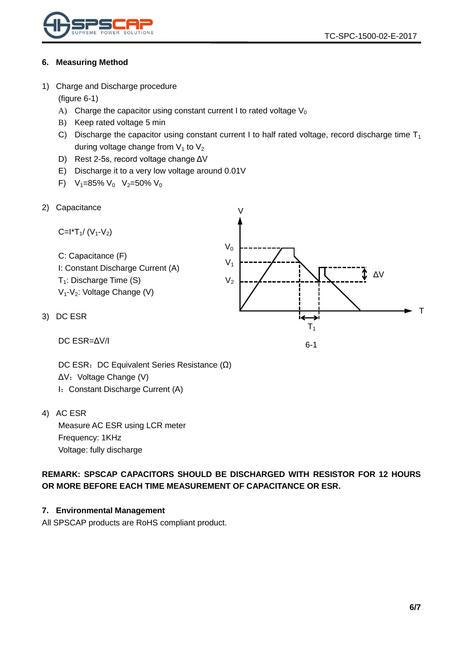

#### <span id="page-5-0"></span>**6. Measuring Method**

<span id="page-5-1"></span>1) Charge and Discharge procedure

(figure 6-1)

- A) Charge the capacitor using constant current I to rated voltage  $V_0$
- B) Keep rated voltage 5 min
- C) Discharge the capacitor using constant current I to half rated voltage, record discharge time  $T_1$ during voltage change from  $V_1$  to  $V_2$
- D) Rest 2-5s, record voltage change ΔV
- E) Discharge it to a very low voltage around 0.01V
- F)  $V_1=85\% V_0 V_2=50\% V_0$
- <span id="page-5-2"></span>2) Capacitance

Capactance

\n
$$
C = I^*T_1 / (V_1 - V_2)
$$
\nC: Capacitance (F)

\nI: Constant Discharge Current (A)

\n
$$
T_1
$$
\nDischarge Time (S)

\n
$$
V_1
$$
\n
$$
V_2
$$
\n
$$
V_3
$$
\n
$$
V_4 - V_2
$$
\nNotage Change (V)

\nDC ESR

\n
$$
T_1
$$
\n
$$
T_2
$$
\n
$$
T_3
$$
\n
$$
T_4
$$
\n
$$
T_5
$$
\n
$$
T_6
$$
\n
$$
T_7
$$

6-1

DC ESR=ΔV/I

DC ESR: DC Equivalent Series Resistance (Ω) ΔV: Voltage Change (V) I: Constant Discharge Current (A)

<span id="page-5-4"></span>4) AC ESR

<span id="page-5-3"></span>3)

Measure AC ESR using LCR meter Frequency: 1KHz Voltage: fully discharge

**REMARK: SPSCAP CAPACITORS SHOULD BE DISCHARGED WITH RESISTOR FOR 12 HOURS OR MORE BEFORE EACH TIME MEASUREMENT OF CAPACITANCE OR ESR.**

#### <span id="page-5-5"></span>**7. Environmental Management**

All SPSCAP products are RoHS compliant product.